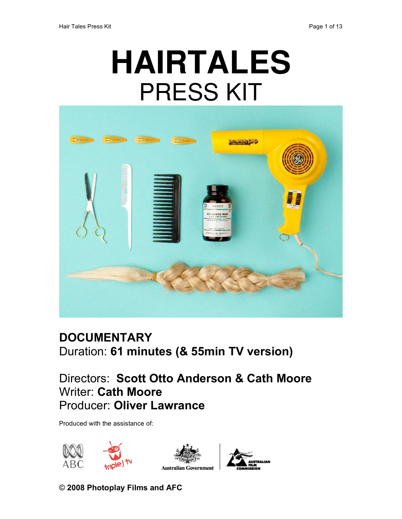# **HAIRTALES** PRESS KIT



# **DOCUMENTARY** Duration: **61 minutes (& 55min TV version)**

## Directors: **Scott Otto Anderson & Cath Moore** Writer: **Cath Moore** Producer: **Oliver Lawrance**

Produced with the assistance of:







© **2008 Photoplay Films and AFC**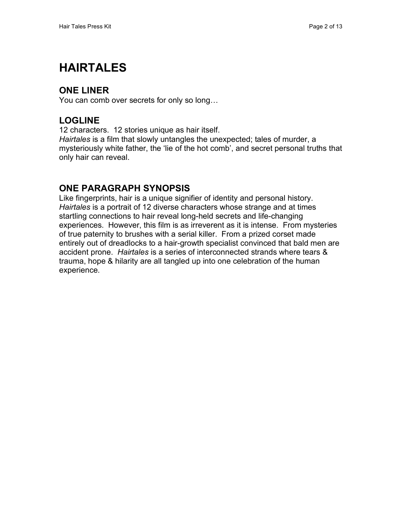# **HAIRTALES**

## **ONE LINER**

You can comb over secrets for only so long…

## **LOGLINE**

12 characters. 12 stories unique as hair itself.

*Hairtales* is a film that slowly untangles the unexpected; tales of murder, a mysteriously white father, the 'lie of the hot comb', and secret personal truths that only hair can reveal.

## **ONE PARAGRAPH SYNOPSIS**

Like fingerprints, hair is a unique signifier of identity and personal history. *Hairtales* is a portrait of 12 diverse characters whose strange and at times startling connections to hair reveal long-held secrets and life-changing experiences. However, this film is as irreverent as it is intense. From mysteries of true paternity to brushes with a serial killer. From a prized corset made entirely out of dreadlocks to a hair-growth specialist convinced that bald men are accident prone. *Hairtales* is a series of interconnected strands where tears & trauma, hope & hilarity are all tangled up into one celebration of the human experience.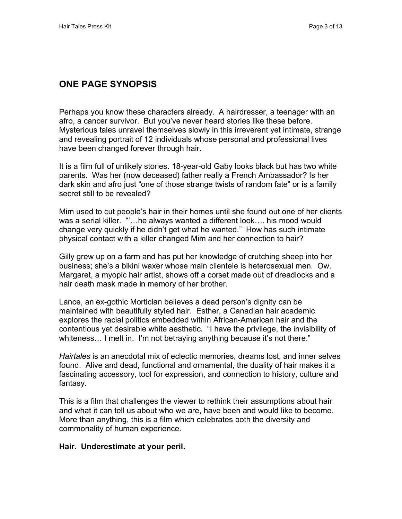## **ONE PAGE SYNOPSIS**

Perhaps you know these characters already. A hairdresser, a teenager with an afro, a cancer survivor. But you've never heard stories like these before. Mysterious tales unravel themselves slowly in this irreverent yet intimate, strange and revealing portrait of 12 individuals whose personal and professional lives have been changed forever through hair.

It is a film full of unlikely stories. 18-year-old Gaby looks black but has two white parents. Was her (now deceased) father really a French Ambassador? Is her dark skin and afro just "one of those strange twists of random fate" or is a family secret still to be revealed?

Mim used to cut people's hair in their homes until she found out one of her clients was a serial killer. "...he always wanted a different look.... his mood would change very quickly if he didn't get what he wanted." How has such intimate physical contact with a killer changed Mim and her connection to hair?

Gilly grew up on a farm and has put her knowledge of crutching sheep into her business; she's a bikini waxer whose main clientele is heterosexual men. Ow. Margaret, a myopic hair artist, shows off a corset made out of dreadlocks and a hair death mask made in memory of her brother.

Lance, an ex-gothic Mortician believes a dead person's dignity can be maintained with beautifully styled hair. Esther, a Canadian hair academic explores the racial politics embedded within African-American hair and the contentious yet desirable white aesthetic. "I have the privilege, the invisibility of whiteness… I melt in. I'm not betraying anything because it's not there."

*Hairtales* is an anecdotal mix of eclectic memories, dreams lost, and inner selves found. Alive and dead, functional and ornamental, the duality of hair makes it a fascinating accessory, tool for expression, and connection to history, culture and fantasy.

This is a film that challenges the viewer to rethink their assumptions about hair and what it can tell us about who we are, have been and would like to become. More than anything, this is a film which celebrates both the diversity and commonality of human experience.

#### **Hair. Underestimate at your peril.**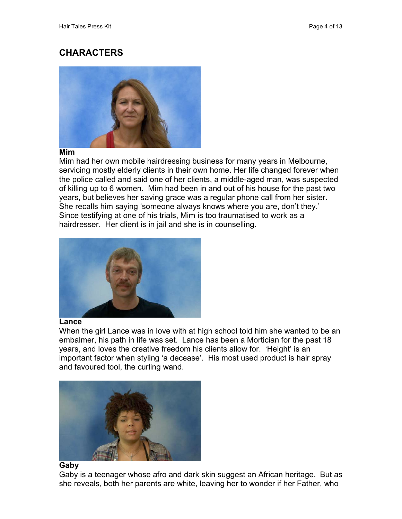## **CHARACTERS**



#### **Mim**

Mim had her own mobile hairdressing business for many years in Melbourne, servicing mostly elderly clients in their own home. Her life changed forever when the police called and said one of her clients, a middle-aged man, was suspected of killing up to 6 women. Mim had been in and out of his house for the past two years, but believes her saving grace was a regular phone call from her sister. She recalls him saying 'someone always knows where you are, don't they.' Since testifying at one of his trials, Mim is too traumatised to work as a hairdresser. Her client is in jail and she is in counselling.



#### **Lance**

When the girl Lance was in love with at high school told him she wanted to be an embalmer, his path in life was set. Lance has been a Mortician for the past 18 years, and loves the creative freedom his clients allow for. 'Height' is an important factor when styling 'a decease'. His most used product is hair spray and favoured tool, the curling wand.



#### **Gaby**

Gaby is a teenager whose afro and dark skin suggest an African heritage. But as she reveals, both her parents are white, leaving her to wonder if her Father, who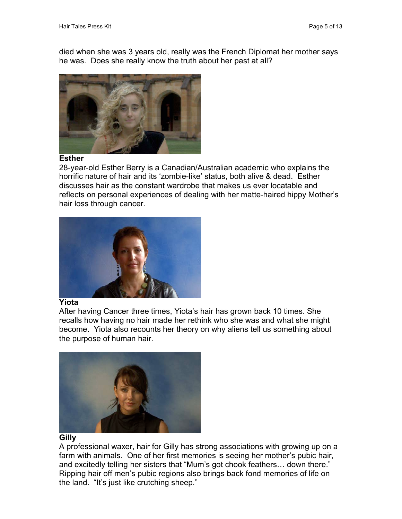died when she was 3 years old, really was the French Diplomat her mother says he was. Does she really know the truth about her past at all?



#### **Esther**

28-year-old Esther Berry is a Canadian/Australian academic who explains the horrific nature of hair and its 'zombie-like' status, both alive & dead. Esther discusses hair as the constant wardrobe that makes us ever locatable and reflects on personal experiences of dealing with her matte-haired hippy Mother's hair loss through cancer.



#### **Yiota**

After having Cancer three times, Yiota's hair has grown back 10 times. She recalls how having no hair made her rethink who she was and what she might become. Yiota also recounts her theory on why aliens tell us something about the purpose of human hair.



#### **Gilly**

A professional waxer, hair for Gilly has strong associations with growing up on a farm with animals. One of her first memories is seeing her mother's pubic hair, and excitedly telling her sisters that "Mum's got chook feathers… down there." Ripping hair off men's pubic regions also brings back fond memories of life on the land. "It's just like crutching sheep."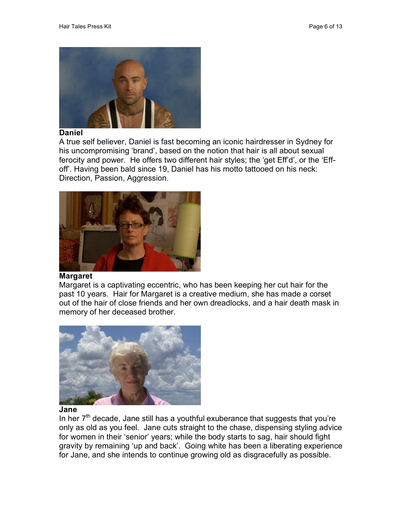

#### **Daniel**

A true self believer, Daniel is fast becoming an iconic hairdresser in Sydney for his uncompromising 'brand', based on the notion that hair is all about sexual ferocity and power. He offers two different hair styles; the 'get Eff'd', or the 'Effoff'. Having been bald since 19, Daniel has his motto tattooed on his neck: Direction, Passion, Aggression.



#### **Margaret**

Margaret is a captivating eccentric, who has been keeping her cut hair for the past 10 years. Hair for Margaret is a creative medium, she has made a corset out of the hair of close friends and her own dreadlocks, and a hair death mask in memory of her deceased brother.



#### **Jane**

In her  $7<sup>th</sup>$  decade, Jane still has a youthful exuberance that suggests that you're only as old as you feel. Jane cuts straight to the chase, dispensing styling advice for women in their 'senior' years; while the body starts to sag, hair should fight gravity by remaining 'up and back'. Going white has been a liberating experience for Jane, and she intends to continue growing old as disgracefully as possible.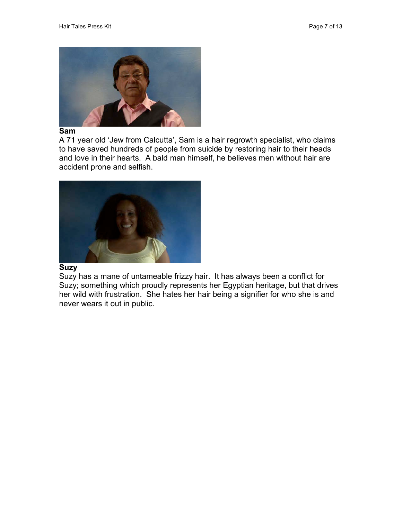

#### **Sam**

A 71 year old 'Jew from Calcutta', Sam is a hair regrowth specialist, who claims to have saved hundreds of people from suicide by restoring hair to their heads and love in their hearts. A bald man himself, he believes men without hair are accident prone and selfish.



#### **Suzy**

Suzy has a mane of untameable frizzy hair. It has always been a conflict for Suzy; something which proudly represents her Egyptian heritage, but that drives her wild with frustration. She hates her hair being a signifier for who she is and never wears it out in public.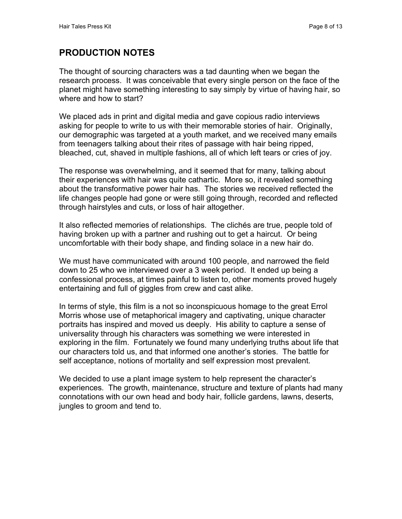## **PRODUCTION NOTES**

The thought of sourcing characters was a tad daunting when we began the research process. It was conceivable that every single person on the face of the planet might have something interesting to say simply by virtue of having hair, so where and how to start?

We placed ads in print and digital media and gave copious radio interviews asking for people to write to us with their memorable stories of hair. Originally, our demographic was targeted at a youth market, and we received many emails from teenagers talking about their rites of passage with hair being ripped, bleached, cut, shaved in multiple fashions, all of which left tears or cries of joy.

The response was overwhelming, and it seemed that for many, talking about their experiences with hair was quite cathartic. More so, it revealed something about the transformative power hair has. The stories we received reflected the life changes people had gone or were still going through, recorded and reflected through hairstyles and cuts, or loss of hair altogether.

It also reflected memories of relationships. The clichés are true, people told of having broken up with a partner and rushing out to get a haircut. Or being uncomfortable with their body shape, and finding solace in a new hair do.

We must have communicated with around 100 people, and narrowed the field down to 25 who we interviewed over a 3 week period. It ended up being a confessional process, at times painful to listen to, other moments proved hugely entertaining and full of giggles from crew and cast alike.

In terms of style, this film is a not so inconspicuous homage to the great Errol Morris whose use of metaphorical imagery and captivating, unique character portraits has inspired and moved us deeply. His ability to capture a sense of universality through his characters was something we were interested in exploring in the film. Fortunately we found many underlying truths about life that our characters told us, and that informed one another's stories. The battle for self acceptance, notions of mortality and self expression most prevalent.

We decided to use a plant image system to help represent the character's experiences. The growth, maintenance, structure and texture of plants had many connotations with our own head and body hair, follicle gardens, lawns, deserts, jungles to groom and tend to.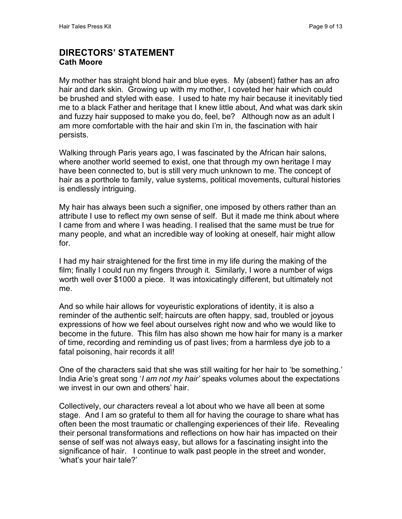#### **DIRECTORS' STATEMENT Cath Moore**

My mother has straight blond hair and blue eyes. My (absent) father has an afro hair and dark skin. Growing up with my mother, I coveted her hair which could be brushed and styled with ease. I used to hate my hair because it inevitably tied me to a black Father and heritage that I knew little about, And what was dark skin and fuzzy hair supposed to make you do, feel, be? Although now as an adult I am more comfortable with the hair and skin I'm in, the fascination with hair persists.

Walking through Paris years ago, I was fascinated by the African hair salons, where another world seemed to exist, one that through my own heritage I may have been connected to, but is still very much unknown to me. The concept of hair as a porthole to family, value systems, political movements, cultural histories is endlessly intriguing.

My hair has always been such a signifier, one imposed by others rather than an attribute I use to reflect my own sense of self. But it made me think about where I came from and where I was heading. I realised that the same must be true for many people, and what an incredible way of looking at oneself, hair might allow for.

I had my hair straightened for the first time in my life during the making of the film; finally I could run my fingers through it. Similarly, I wore a number of wigs worth well over \$1000 a piece. It was intoxicatingly different, but ultimately not me.

And so while hair allows for voyeuristic explorations of identity, it is also a reminder of the authentic self; haircuts are often happy, sad, troubled or joyous expressions of how we feel about ourselves right now and who we would like to become in the future. This film has also shown me how hair for many is a marker of time, recording and reminding us of past lives; from a harmless dye job to a fatal poisoning, hair records it all!

One of the characters said that she was still waiting for her hair to 'be something.' India Arie's great song '*I am not my hair'* speaks volumes about the expectations we invest in our own and others' hair.

Collectively, our characters reveal a lot about who we have all been at some stage. And I am so grateful to them all for having the courage to share what has often been the most traumatic or challenging experiences of their life. Revealing their personal transformations and reflections on how hair has impacted on their sense of self was not always easy, but allows for a fascinating insight into the significance of hair. I continue to walk past people in the street and wonder, 'what's your hair tale?'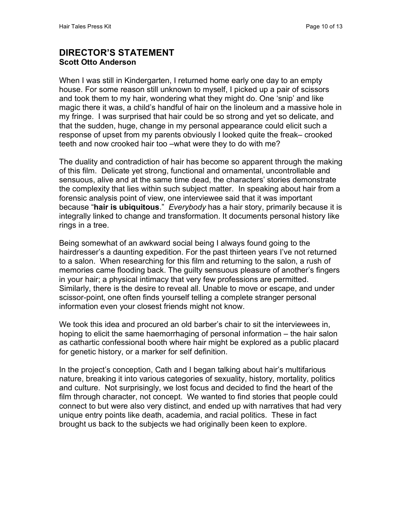#### **DIRECTOR'S STATEMENT Scott Otto Anderson**

When I was still in Kindergarten, I returned home early one day to an empty house. For some reason still unknown to myself, I picked up a pair of scissors and took them to my hair, wondering what they might do. One 'snip' and like magic there it was, a child's handful of hair on the linoleum and a massive hole in my fringe. I was surprised that hair could be so strong and yet so delicate, and that the sudden, huge, change in my personal appearance could elicit such a response of upset from my parents obviously I looked quite the freak– crooked teeth and now crooked hair too –what were they to do with me?

The duality and contradiction of hair has become so apparent through the making of this film. Delicate yet strong, functional and ornamental, uncontrollable and sensuous, alive and at the same time dead, the characters' stories demonstrate the complexity that lies within such subject matter. In speaking about hair from a forensic analysis point of view, one interviewee said that it was important because "**hair is ubiquitous**." *Everybody* has a hair story, primarily because it is integrally linked to change and transformation. It documents personal history like rings in a tree.

Being somewhat of an awkward social being I always found going to the hairdresser's a daunting expedition. For the past thirteen years I've not returned to a salon. When researching for this film and returning to the salon, a rush of memories came flooding back. The guilty sensuous pleasure of another's fingers in your hair; a physical intimacy that very few professions are permitted. Similarly, there is the desire to reveal all. Unable to move or escape, and under scissor-point, one often finds yourself telling a complete stranger personal information even your closest friends might not know.

We took this idea and procured an old barber's chair to sit the interviewees in, hoping to elicit the same haemorrhaging of personal information – the hair salon as cathartic confessional booth where hair might be explored as a public placard for genetic history, or a marker for self definition.

In the project's conception, Cath and I began talking about hair's multifarious nature, breaking it into various categories of sexuality, history, mortality, politics and culture. Not surprisingly, we lost focus and decided to find the heart of the film through character, not concept. We wanted to find stories that people could connect to but were also very distinct, and ended up with narratives that had very unique entry points like death, academia, and racial politics. These in fact brought us back to the subjects we had originally been keen to explore.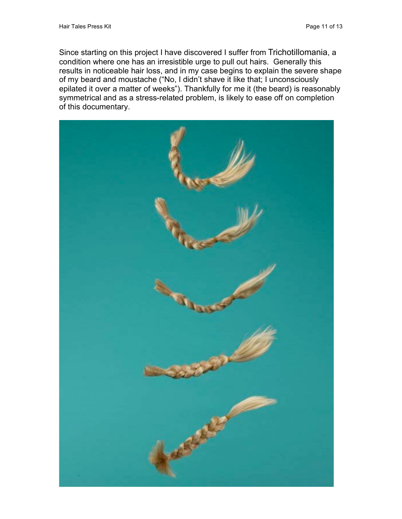Since starting on this project I have discovered I suffer from Trichotillomania, a condition where one has an irresistible urge to pull out hairs. Generally this results in noticeable hair loss, and in my case begins to explain the severe shape of my beard and moustache ("No, I didn't shave it like that; I unconsciously epilated it over a matter of weeks"). Thankfully for me it (the beard) is reasonably symmetrical and as a stress-related problem, is likely to ease off on completion of this documentary.

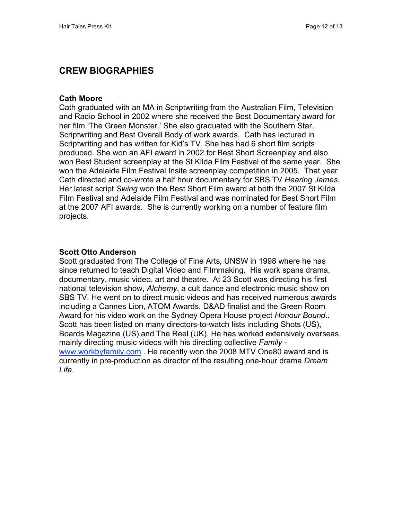## **CREW BIOGRAPHIES**

#### **Cath Moore**

Cath graduated with an MA in Scriptwriting from the Australian Film, Television and Radio School in 2002 where she received the Best Documentary award for her film 'The Green Monster.' She also graduated with the Southern Star, Scriptwriting and Best Overall Body of work awards. Cath has lectured in Scriptwriting and has written for Kid's TV. She has had 6 short film scripts produced. She won an AFI award in 2002 for Best Short Screenplay and also won Best Student screenplay at the St Kilda Film Festival of the same year. She won the Adelaide Film Festival Insite screenplay competition in 2005. That year Cath directed and co-wrote a half hour documentary for SBS TV *Hearing James*. Her latest script *Swing* won the Best Short Film award at both the 2007 St Kilda Film Festival and Adelaide Film Festival and was nominated for Best Short Film at the 2007 AFI awards. She is currently working on a number of feature film projects.

#### **Scott Otto Anderson**

Scott graduated from The College of Fine Arts, UNSW in 1998 where he has since returned to teach Digital Video and Filmmaking. His work spans drama, documentary, music video, art and theatre. At 23 Scott was directing his first national television show, *Alchemy*, a cult dance and electronic music show on SBS TV. He went on to direct music videos and has received numerous awards including a Cannes Lion, ATOM Awards, D&AD finalist and the Green Room Award for his video work on the Sydney Opera House project *Honour Bound*.. Scott has been listed on many directors-to-watch lists including Shots (US), Boards Magazine (US) and The Reel (UK). He has worked extensively overseas, mainly directing music videos with his directing collective *Family* www.workbyfamily.com . He recently won the 2008 MTV One80 award and is currently in pre-production as director of the resulting one-hour drama *Dream Life*.